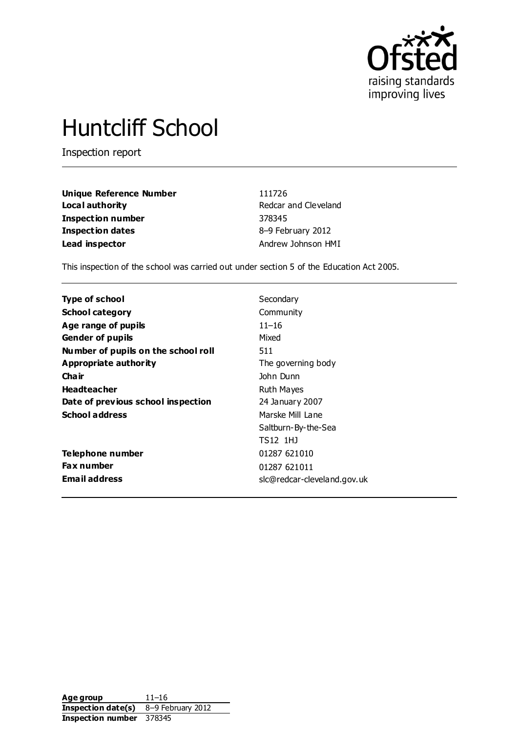

# Huntcliff School

Inspection report

| Unique Reference Number  | 111726               |
|--------------------------|----------------------|
| Local authority          | Redcar and Cleveland |
| <b>Inspection number</b> | 378345               |
| <b>Inspection dates</b>  | 8-9 February 2012    |
| Lead inspector           | Andrew Johnson HMI   |

This inspection of the school was carried out under section 5 of the Education Act 2005.

| <b>Type of school</b>               | Secondary                   |
|-------------------------------------|-----------------------------|
| <b>School category</b>              | Community                   |
| Age range of pupils                 | $11 - 16$                   |
| <b>Gender of pupils</b>             | Mixed                       |
| Number of pupils on the school roll | 511                         |
| Appropriate authority               | The governing body          |
| Cha ir                              | John Dunn                   |
| <b>Headteacher</b>                  | Ruth Mayes                  |
| Date of previous school inspection  | 24 January 2007             |
| <b>School address</b>               | Marske Mill Lane            |
|                                     | Saltburn-By-the-Sea         |
|                                     | TS12 1HJ                    |
| Telephone number                    | 01287 621010                |
| Fax number                          | 01287 621011                |
| <b>Email address</b>                | slc@redcar-cleveland.gov.uk |
|                                     |                             |

**Age group** 11–16 **Inspection date(s)** 8–9 February 2012 **Inspection number** 378345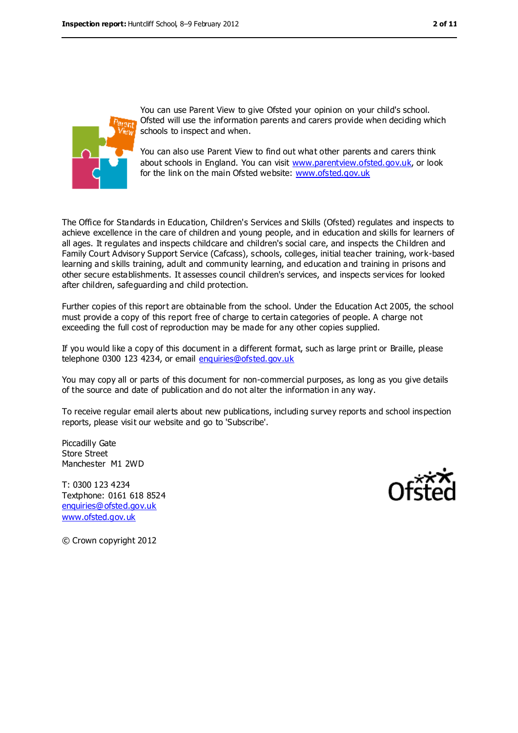

You can use Parent View to give Ofsted your opinion on your child's school. Ofsted will use the information parents and carers provide when deciding which schools to inspect and when.

You can also use Parent View to find out what other parents and carers think about schools in England. You can visit [www.parentview.ofsted.gov.uk,](file:///C:/Users/ajohnson/AppData/Local/Users/ajohnson/AppData/Local/Users/ajohnson/AppData/Local/Microsoft/Windows/Temporary%20Internet%20Files/Content.IE5/1D4SS3R3/www.parentview.ofsted.gov.uk) or look for the link on the main Ofsted website: [www.ofsted.gov.uk](file:///C:/Users/ajohnson/AppData/Local/Users/ajohnson/AppData/Local/Users/ajohnson/AppData/Local/Microsoft/Windows/Temporary%20Internet%20Files/Content.IE5/1D4SS3R3/www.ofsted.gov.uk)

The Office for Standards in Education, Children's Services and Skills (Ofsted) regulates and inspects to achieve excellence in the care of children and young people, and in education and skills for learners of all ages. It regulates and inspects childcare and children's social care, and inspects the Children and Family Court Advisory Support Service (Cafcass), schools, colleges, initial teacher training, work-based learning and skills training, adult and community learning, and education and training in prisons and other secure establishments. It assesses council children's services, and inspects services for looked after children, safeguarding and child protection.

Further copies of this report are obtainable from the school. Under the Education Act 2005, the school must provide a copy of this report free of charge to certain categories of people. A charge not exceeding the full cost of reproduction may be made for any other copies supplied.

If you would like a copy of this document in a different format, such as large print or Braille, please telephone 0300 123 4234, or email [enquiries@ofsted.gov.uk](mailto:enquiries@ofsted.gov.uk)

You may copy all or parts of this document for non-commercial purposes, as long as you give details of the source and date of publication and do not alter the information in any way.

To receive regular email alerts about new publications, including survey reports and school inspection reports, please visit our website and go to 'Subscribe'.

Piccadilly Gate Store Street Manchester M1 2WD

T: 0300 123 4234 Textphone: 0161 618 8524 [enquiries@ofsted.gov.uk](mailto:enquiries@ofsted.gov.uk) [www.ofsted.gov.uk](http://www.ofsted.gov.uk/)



© Crown copyright 2012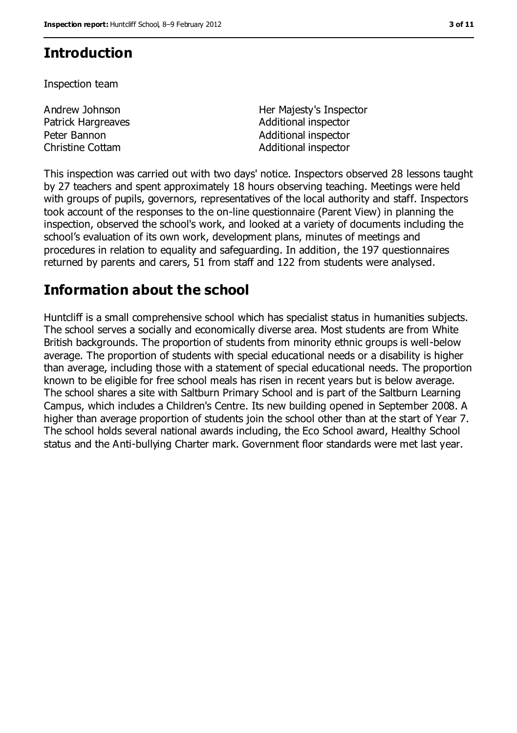## **Introduction**

Inspection team

| Andrew Johnson          |  |
|-------------------------|--|
| Patrick Hargreaves      |  |
| Peter Bannon            |  |
| <b>Christine Cottam</b> |  |

Her Majesty's Inspector Additional inspector Additional inspector Additional inspector

This inspection was carried out with two days' notice. Inspectors observed 28 lessons taught by 27 teachers and spent approximately 18 hours observing teaching. Meetings were held with groups of pupils, governors, representatives of the local authority and staff. Inspectors took account of the responses to the on-line questionnaire (Parent View) in planning the inspection, observed the school's work, and looked at a variety of documents including the school's evaluation of its own work, development plans, minutes of meetings and procedures in relation to equality and safeguarding. In addition, the 197 questionnaires returned by parents and carers, 51 from staff and 122 from students were analysed.

## **Information about the school**

Huntcliff is a small comprehensive school which has specialist status in humanities subjects. The school serves a socially and economically diverse area. Most students are from White British backgrounds. The proportion of students from minority ethnic groups is well-below average. The proportion of students with special educational needs or a disability is higher than average, including those with a statement of special educational needs. The proportion known to be eligible for free school meals has risen in recent years but is below average. The school shares a site with Saltburn Primary School and is part of the Saltburn Learning Campus, which includes a Children's Centre. Its new building opened in September 2008. A higher than average proportion of students join the school other than at the start of Year 7. The school holds several national awards including, the Eco School award, Healthy School status and the Anti-bullying Charter mark. Government floor standards were met last year.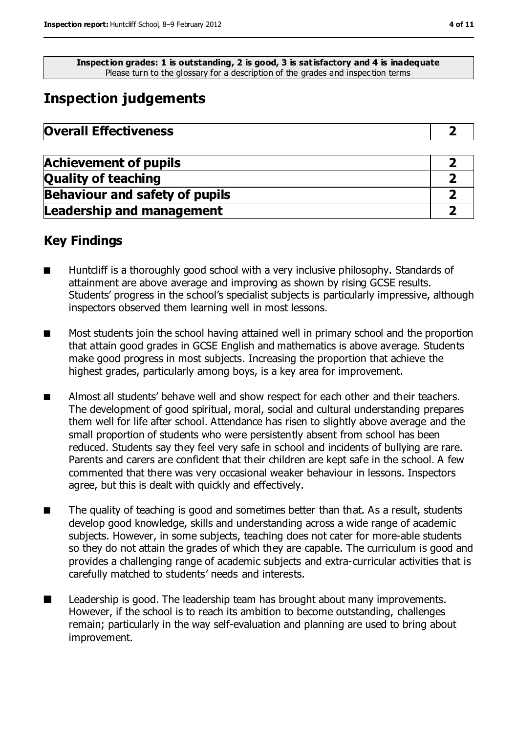**Inspection grades: 1 is outstanding, 2 is good, 3 is satisfactory and 4 is inadequate** Please turn to the glossary for a description of the grades and inspec tion terms

# **Inspection judgements**

| <b>Overall Effectiveness</b> |
|------------------------------|
|                              |

| <b>Achievement of pupils</b>          |  |
|---------------------------------------|--|
| <b>Quality of teaching</b>            |  |
| <b>Behaviour and safety of pupils</b> |  |
| <b>Leadership and management</b>      |  |

## **Key Findings**

- Huntcliff is a thoroughly good school with a very inclusive philosophy. Standards of attainment are above average and improving as shown by rising GCSE results. Students' progress in the school's specialist subjects is particularly impressive, although inspectors observed them learning well in most lessons.
- Most students join the school having attained well in primary school and the proportion that attain good grades in GCSE English and mathematics is above average. Students make good progress in most subjects. Increasing the proportion that achieve the highest grades, particularly among boys, is a key area for improvement.
- Almost all students' behave well and show respect for each other and their teachers. The development of good spiritual, moral, social and cultural understanding prepares them well for life after school. Attendance has risen to slightly above average and the small proportion of students who were persistently absent from school has been reduced. Students say they feel very safe in school and incidents of bullying are rare. Parents and carers are confident that their children are kept safe in the school. A few commented that there was very occasional weaker behaviour in lessons. Inspectors agree, but this is dealt with quickly and effectively.
- The quality of teaching is good and sometimes better than that. As a result, students develop good knowledge, skills and understanding across a wide range of academic subjects. However, in some subjects, teaching does not cater for more-able students so they do not attain the grades of which they are capable. The curriculum is good and provides a challenging range of academic subjects and extra-curricular activities that is carefully matched to students' needs and interests.
- Leadership is good. The leadership team has brought about many improvements. However, if the school is to reach its ambition to become outstanding, challenges remain; particularly in the way self-evaluation and planning are used to bring about improvement.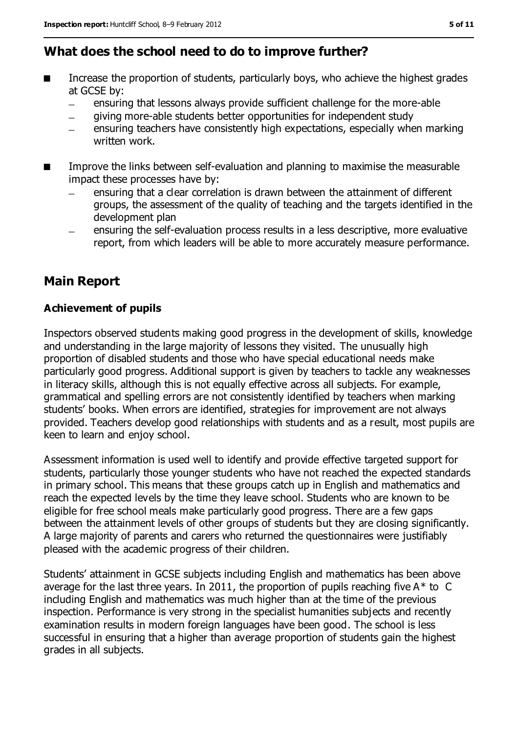## **What does the school need to do to improve further?**

- Increase the proportion of students, particularly boys, who achieve the highest grades at GCSE by:
	- ensuring that lessons always provide sufficient challenge for the more-able  $\equiv$
	- giving more-able students better opportunities for independent study
	- ensuring teachers have consistently high expectations, especially when marking  $\equiv$ written work.
- Improve the links between self-evaluation and planning to maximise the measurable impact these processes have by:
	- ensuring that a clear correlation is drawn between the attainment of different  $\equiv$ groups, the assessment of the quality of teaching and the targets identified in the development plan
	- ensuring the self-evaluation process results in a less descriptive, more evaluative report, from which leaders will be able to more accurately measure performance.

## **Main Report**

#### **Achievement of pupils**

Inspectors observed students making good progress in the development of skills, knowledge and understanding in the large majority of lessons they visited. The unusually high proportion of disabled students and those who have special educational needs make particularly good progress. Additional support is given by teachers to tackle any weaknesses in literacy skills, although this is not equally effective across all subjects. For example, grammatical and spelling errors are not consistently identified by teachers when marking students' books. When errors are identified, strategies for improvement are not always provided. Teachers develop good relationships with students and as a result, most pupils are keen to learn and enjoy school.

Assessment information is used well to identify and provide effective targeted support for students, particularly those younger students who have not reached the expected standards in primary school. This means that these groups catch up in English and mathematics and reach the expected levels by the time they leave school. Students who are known to be eligible for free school meals make particularly good progress. There are a few gaps between the attainment levels of other groups of students but they are closing significantly. A large majority of parents and carers who returned the questionnaires were justifiably pleased with the academic progress of their children.

Students' attainment in GCSE subjects including English and mathematics has been above average for the last three years. In 2011, the proportion of pupils reaching five  $A^*$  to C including English and mathematics was much higher than at the time of the previous inspection. Performance is very strong in the specialist humanities subjects and recently examination results in modern foreign languages have been good. The school is less successful in ensuring that a higher than average proportion of students gain the highest grades in all subjects.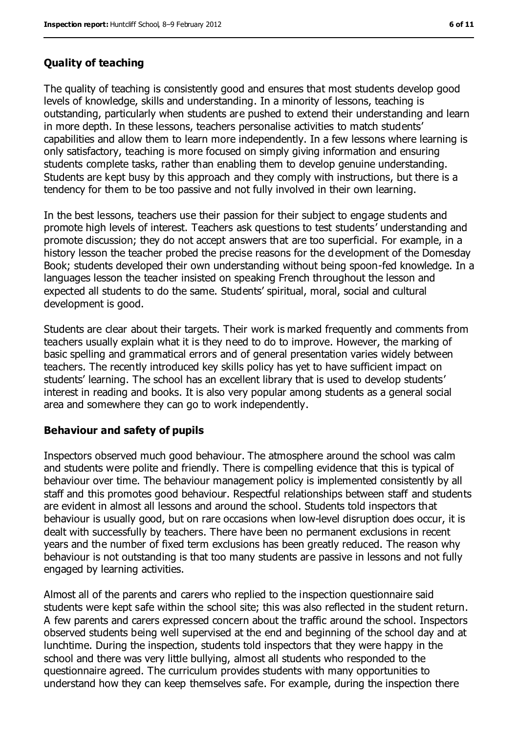#### **Quality of teaching**

The quality of teaching is consistently good and ensures that most students develop good levels of knowledge, skills and understanding. In a minority of lessons, teaching is outstanding, particularly when students are pushed to extend their understanding and learn in more depth. In these lessons, teachers personalise activities to match students' capabilities and allow them to learn more independently. In a few lessons where learning is only satisfactory, teaching is more focused on simply giving information and ensuring students complete tasks, rather than enabling them to develop genuine understanding. Students are kept busy by this approach and they comply with instructions, but there is a tendency for them to be too passive and not fully involved in their own learning.

In the best lessons, teachers use their passion for their subject to engage students and promote high levels of interest. Teachers ask questions to test students' understanding and promote discussion; they do not accept answers that are too superficial. For example, in a history lesson the teacher probed the precise reasons for the development of the Domesday Book; students developed their own understanding without being spoon-fed knowledge. In a languages lesson the teacher insisted on speaking French throughout the lesson and expected all students to do the same. Students' spiritual, moral, social and cultural development is good.

Students are clear about their targets. Their work is marked frequently and comments from teachers usually explain what it is they need to do to improve. However, the marking of basic spelling and grammatical errors and of general presentation varies widely between teachers. The recently introduced key skills policy has yet to have sufficient impact on students' learning. The school has an excellent library that is used to develop students' interest in reading and books. It is also very popular among students as a general social area and somewhere they can go to work independently.

#### **Behaviour and safety of pupils**

Inspectors observed much good behaviour. The atmosphere around the school was calm and students were polite and friendly. There is compelling evidence that this is typical of behaviour over time. The behaviour management policy is implemented consistently by all staff and this promotes good behaviour. Respectful relationships between staff and students are evident in almost all lessons and around the school. Students told inspectors that behaviour is usually good, but on rare occasions when low-level disruption does occur, it is dealt with successfully by teachers. There have been no permanent exclusions in recent years and the number of fixed term exclusions has been greatly reduced. The reason why behaviour is not outstanding is that too many students are passive in lessons and not fully engaged by learning activities.

Almost all of the parents and carers who replied to the inspection questionnaire said students were kept safe within the school site; this was also reflected in the student return. A few parents and carers expressed concern about the traffic around the school. Inspectors observed students being well supervised at the end and beginning of the school day and at lunchtime. During the inspection, students told inspectors that they were happy in the school and there was very little bullying, almost all students who responded to the questionnaire agreed. The curriculum provides students with many opportunities to understand how they can keep themselves safe. For example, during the inspection there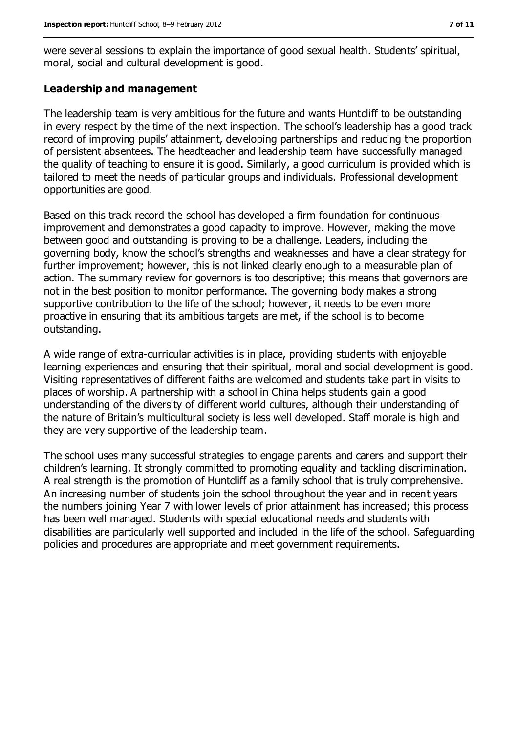were several sessions to explain the importance of good sexual health. Students' spiritual, moral, social and cultural development is good.

#### **Leadership and management**

The leadership team is very ambitious for the future and wants Huntcliff to be outstanding in every respect by the time of the next inspection. The school's leadership has a good track record of improving pupils' attainment, developing partnerships and reducing the proportion of persistent absentees. The headteacher and leadership team have successfully managed the quality of teaching to ensure it is good. Similarly, a good curriculum is provided which is tailored to meet the needs of particular groups and individuals. Professional development opportunities are good.

Based on this track record the school has developed a firm foundation for continuous improvement and demonstrates a good capacity to improve. However, making the move between good and outstanding is proving to be a challenge. Leaders, including the governing body, know the school's strengths and weaknesses and have a clear strategy for further improvement; however, this is not linked clearly enough to a measurable plan of action. The summary review for governors is too descriptive; this means that governors are not in the best position to monitor performance. The governing body makes a strong supportive contribution to the life of the school; however, it needs to be even more proactive in ensuring that its ambitious targets are met, if the school is to become outstanding.

A wide range of extra-curricular activities is in place, providing students with enjoyable learning experiences and ensuring that their spiritual, moral and social development is good. Visiting representatives of different faiths are welcomed and students take part in visits to places of worship. A partnership with a school in China helps students gain a good understanding of the diversity of different world cultures, although their understanding of the nature of Britain's multicultural society is less well developed. Staff morale is high and they are very supportive of the leadership team.

The school uses many successful strategies to engage parents and carers and support their children's learning. It strongly committed to promoting equality and tackling discrimination. A real strength is the promotion of Huntcliff as a family school that is truly comprehensive. An increasing number of students join the school throughout the year and in recent years the numbers joining Year 7 with lower levels of prior attainment has increased; this process has been well managed. Students with special educational needs and students with disabilities are particularly well supported and included in the life of the school. Safeguarding policies and procedures are appropriate and meet government requirements.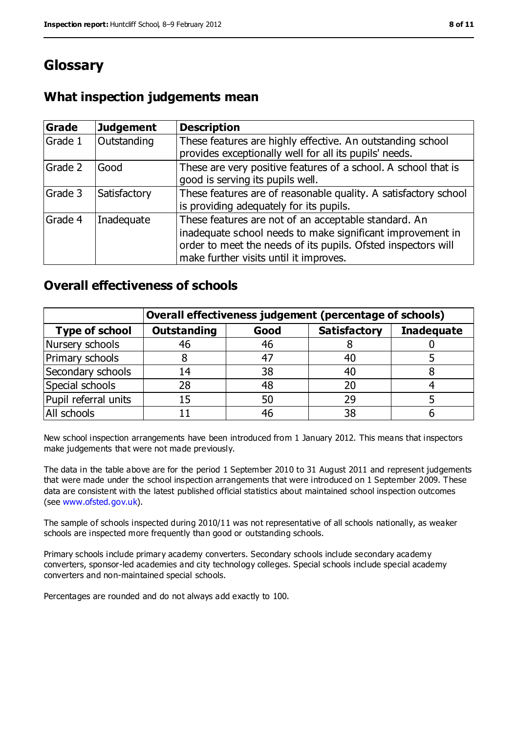# **Glossary**

## **What inspection judgements mean**

| Grade   | <b>Judgement</b> | <b>Description</b>                                                                                                                                                                                                            |
|---------|------------------|-------------------------------------------------------------------------------------------------------------------------------------------------------------------------------------------------------------------------------|
| Grade 1 | Outstanding      | These features are highly effective. An outstanding school<br>provides exceptionally well for all its pupils' needs.                                                                                                          |
| Grade 2 | Good             | These are very positive features of a school. A school that is<br>good is serving its pupils well.                                                                                                                            |
| Grade 3 | Satisfactory     | These features are of reasonable quality. A satisfactory school<br>is providing adequately for its pupils.                                                                                                                    |
| Grade 4 | Inadequate       | These features are not of an acceptable standard. An<br>inadequate school needs to make significant improvement in<br>order to meet the needs of its pupils. Ofsted inspectors will<br>make further visits until it improves. |

### **Overall effectiveness of schools**

|                       | Overall effectiveness judgement (percentage of schools) |      |                     |                   |
|-----------------------|---------------------------------------------------------|------|---------------------|-------------------|
| <b>Type of school</b> | <b>Outstanding</b>                                      | Good | <b>Satisfactory</b> | <b>Inadequate</b> |
| Nursery schools       | 46                                                      | 46   |                     |                   |
| Primary schools       |                                                         | 47   | 40                  |                   |
| Secondary schools     | 14                                                      | 38   | 40                  |                   |
| Special schools       | 28                                                      | 48   | 20                  |                   |
| Pupil referral units  | 15                                                      | 50   | 29                  |                   |
| All schools           |                                                         | 46   | 38                  |                   |

New school inspection arrangements have been introduced from 1 January 2012. This means that inspectors make judgements that were not made previously.

The data in the table above are for the period 1 September 2010 to 31 August 2011 and represent judgements that were made under the school inspection arrangements that were introduced on 1 September 2009. These data are consistent with the latest published official statistics about maintained school inspection outcomes (see [www.ofsted.gov.uk\)](file:///C:/Users/ajohnson/AppData/Local/Users/ajohnson/AppData/Local/Users/ajohnson/AppData/Local/Microsoft/Windows/Temporary%20Internet%20Files/Content.IE5/1D4SS3R3/www.ofsted.gov.uk).

The sample of schools inspected during 2010/11 was not representative of all schools nationally, as weaker schools are inspected more frequently than good or outstanding schools.

Primary schools include primary academy converters. Secondary schools include secondary academy converters, sponsor-led academies and city technology colleges. Special schools include special academy converters and non-maintained special schools.

Percentages are rounded and do not always add exactly to 100.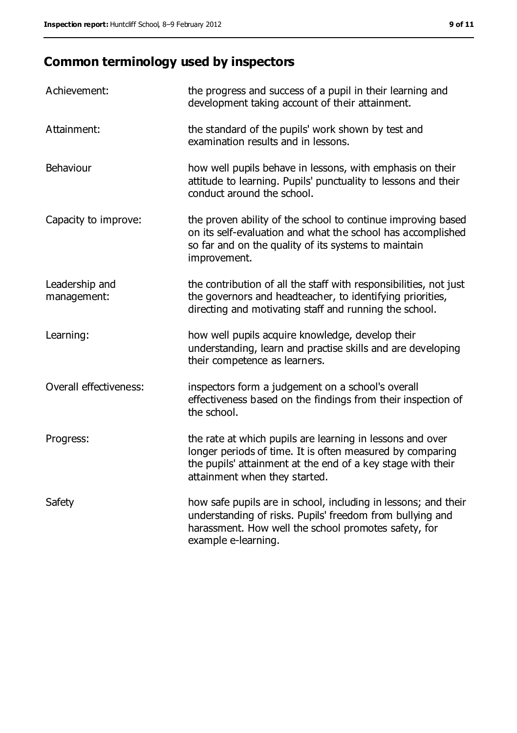# **Common terminology used by inspectors**

| Achievement:                  | the progress and success of a pupil in their learning and<br>development taking account of their attainment.                                                                                                           |
|-------------------------------|------------------------------------------------------------------------------------------------------------------------------------------------------------------------------------------------------------------------|
| Attainment:                   | the standard of the pupils' work shown by test and<br>examination results and in lessons.                                                                                                                              |
| Behaviour                     | how well pupils behave in lessons, with emphasis on their<br>attitude to learning. Pupils' punctuality to lessons and their<br>conduct around the school.                                                              |
| Capacity to improve:          | the proven ability of the school to continue improving based<br>on its self-evaluation and what the school has accomplished<br>so far and on the quality of its systems to maintain<br>improvement.                    |
| Leadership and<br>management: | the contribution of all the staff with responsibilities, not just<br>the governors and headteacher, to identifying priorities,<br>directing and motivating staff and running the school.                               |
| Learning:                     | how well pupils acquire knowledge, develop their<br>understanding, learn and practise skills and are developing<br>their competence as learners.                                                                       |
| Overall effectiveness:        | inspectors form a judgement on a school's overall<br>effectiveness based on the findings from their inspection of<br>the school.                                                                                       |
| Progress:                     | the rate at which pupils are learning in lessons and over<br>longer periods of time. It is often measured by comparing<br>the pupils' attainment at the end of a key stage with their<br>attainment when they started. |
| Safety                        | how safe pupils are in school, including in lessons; and their<br>understanding of risks. Pupils' freedom from bullying and<br>harassment. How well the school promotes safety, for<br>example e-learning.             |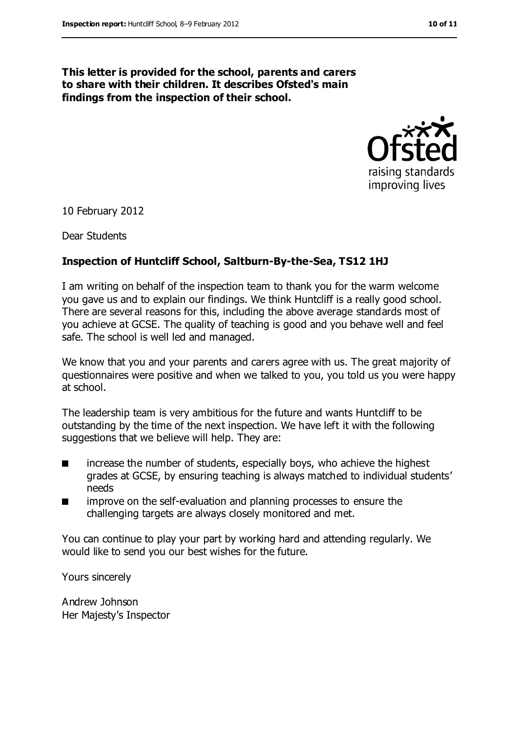#### **This letter is provided for the school, parents and carers to share with their children. It describes Ofsted's main findings from the inspection of their school.**



10 February 2012

Dear Students

#### **Inspection of Huntcliff School, Saltburn-By-the-Sea, TS12 1HJ**

I am writing on behalf of the inspection team to thank you for the warm welcome you gave us and to explain our findings. We think Huntcliff is a really good school. There are several reasons for this, including the above average standards most of you achieve at GCSE. The quality of teaching is good and you behave well and feel safe. The school is well led and managed.

We know that you and your parents and carers agree with us. The great majority of questionnaires were positive and when we talked to you, you told us you were happy at school.

The leadership team is very ambitious for the future and wants Huntcliff to be outstanding by the time of the next inspection. We have left it with the following suggestions that we believe will help. They are:

- increase the number of students, especially boys, who achieve the highest grades at GCSE, by ensuring teaching is always matched to individual students' needs
- improve on the self-evaluation and planning processes to ensure the challenging targets are always closely monitored and met.

You can continue to play your part by working hard and attending regularly. We would like to send you our best wishes for the future.

Yours sincerely

Andrew Johnson Her Majesty's Inspector